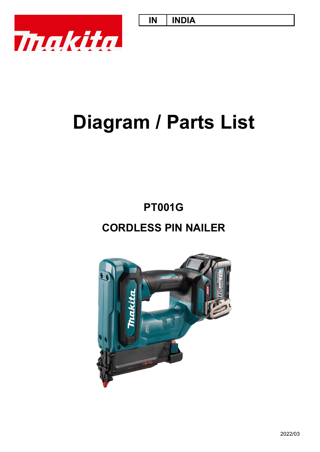

# **Diagram / Parts List**

**CORDLESS PIN NAILER PT001G**

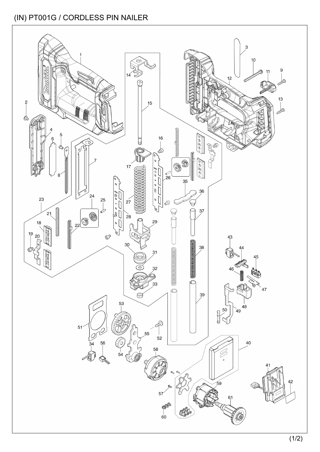#### (IN) PT001G / CORDLESS PIN NAILER

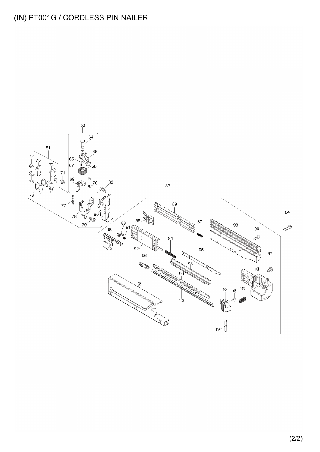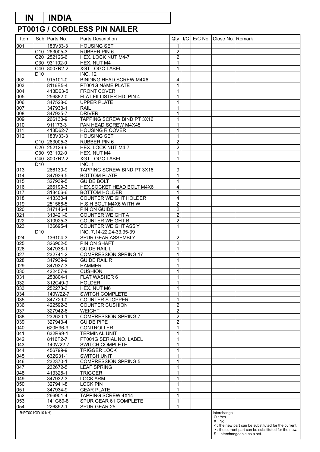# **PT001G / CORDLESS PIN NAILER**

| Item             |                 | Sub   Parts No.          | Parts Description                                       | Qty                          | I/C |  | E/C No. Close No. Remark |                                                                                       |
|------------------|-----------------|--------------------------|---------------------------------------------------------|------------------------------|-----|--|--------------------------|---------------------------------------------------------------------------------------|
| 001              |                 | 183V33-3                 | <b>HOUSING SET</b>                                      | 1                            |     |  |                          |                                                                                       |
|                  |                 | C <sub>10</sub> 263005-3 | RUBBER PIN 6                                            | $\overline{2}$               |     |  |                          |                                                                                       |
|                  |                 | C20 252126-6             | HEX. LOCK NUT M4-7                                      | $\overline{c}$               |     |  |                          |                                                                                       |
|                  |                 | C30 931102-0             | HEX. NUT M4                                             | $\mathbf{1}$                 |     |  |                          |                                                                                       |
|                  |                 | C40 8007R2-2             | <b>XGT LOGO LABEL</b>                                   | $\mathbf{1}$                 |     |  |                          |                                                                                       |
| 002              | D <sub>10</sub> | $915101 - 0$             | <b>INC. 12</b><br><b>BINDING HEAD SCREW M4X6</b>        | $\overline{4}$               |     |  |                          |                                                                                       |
| 003              |                 | 8116E5-4                 | PT001G NAME PLATE                                       | $\mathbf{1}$                 |     |  |                          |                                                                                       |
| 004              |                 | 413D63-5                 | <b>FRONT COVER</b>                                      | $\mathbf{1}$                 |     |  |                          |                                                                                       |
| 005              |                 | 256882-0                 | FLAT FILLISTER HD. PIN 4                                | $\mathbf{1}$                 |     |  |                          |                                                                                       |
| 006              |                 | 347528-0                 | <b>UPPER PLATE</b>                                      | $\mathbf 1$                  |     |  |                          |                                                                                       |
| 007              |                 | 347933-1                 | <b>RAIL</b>                                             | $\mathbf{1}$                 |     |  |                          |                                                                                       |
| 008              |                 | 347935-7                 | <b>DRIVER</b>                                           | $\mathbf{1}$                 |     |  |                          |                                                                                       |
| 009<br>010       |                 | 266130-9<br>911173-3     | TAPPING SCREW BIND PT 3X16<br>PAN HEAD SCREW M4X45      | $\mathbf{1}$<br>1            |     |  |                          |                                                                                       |
| 011              |                 | 413D62-7                 | <b>HOUSING R COVER</b>                                  | $\mathbf{1}$                 |     |  |                          |                                                                                       |
| 012              |                 | 183V33-3                 | <b>HOUSING SET</b>                                      | $\mathbf{1}$                 |     |  |                          |                                                                                       |
|                  |                 | C10 263005-3             | RUBBER PIN 6                                            | $\overline{2}$               |     |  |                          |                                                                                       |
|                  |                 | C20 252126-6             | HEX. LOCK NUT M4-7                                      | $\overline{2}$               |     |  |                          |                                                                                       |
|                  |                 | C30 931102-0             | HEX. NUT M4                                             | $\mathbf{1}$                 |     |  |                          |                                                                                       |
|                  |                 | C40 8007R2-2             | <b>XGT LOGO LABEL</b>                                   | $\mathbf{1}$                 |     |  |                          |                                                                                       |
|                  | D <sub>10</sub> |                          | INC. 1                                                  |                              |     |  |                          |                                                                                       |
| 013              |                 | 266130-9                 | TAPPING SCREW BIND PT 3X16                              | $\boldsymbol{9}$             |     |  |                          |                                                                                       |
| 014<br>015       |                 | 347936-5<br>327939-5     | <b>BOTTOM PLATE</b><br><b>GUIDE BOLT</b>                | $\mathbf{1}$<br>$\mathbf{1}$ |     |  |                          |                                                                                       |
| 016              |                 | 266199-3                 | HEX.SOCKET HEAD BOLT M4X6                               | $\overline{4}$               |     |  |                          |                                                                                       |
| 017              |                 | 313406-6                 | <b>BOTTOM HOLDER</b>                                    | $\mathbf{1}$                 |     |  |                          |                                                                                       |
| 018              |                 | 413330-4                 | <b>COUNTER WEIGHT HOLDER</b>                            | $\overline{4}$               |     |  |                          |                                                                                       |
| 019              |                 | 251566-5                 | H.S.H BOLT M4X6 WITH W                                  | $\overline{2}$               |     |  |                          |                                                                                       |
| 020              |                 | 347146-4                 | <b>PINION GUIDE</b>                                     | $\overline{c}$               |     |  |                          |                                                                                       |
| 021              |                 | 313421-0                 | <b>COUNTER WEIGHT A</b>                                 | $\overline{2}$               |     |  |                          |                                                                                       |
| 022              |                 | 310925-3                 | <b>COUNTER WEIGHT B</b>                                 | $\overline{2}$               |     |  |                          |                                                                                       |
| $\overline{023}$ | D10             | 136695-4                 | <b>COUNTER WEIGHT ASS'Y</b><br>INC. 7,14-22,24-33,35-39 | $\mathbf{1}$                 |     |  |                          |                                                                                       |
| 024              |                 | 136104-3                 | SPUR GEAR ASSEMBLY                                      | $\overline{c}$               |     |  |                          |                                                                                       |
| 025              |                 | 326902-5                 | PINION SHAFT                                            | $\overline{2}$               |     |  |                          |                                                                                       |
| 026              |                 | 347938-1                 | <b>GUIDE RAIL L</b>                                     | $\mathbf{1}$                 |     |  |                          |                                                                                       |
| 027              |                 | 232741-2                 | <b>COMPRESSION SPRING 17</b>                            | $\mathbf{1}$                 |     |  |                          |                                                                                       |
| 028              |                 | 347939-9                 | <b>GUIDE RAIL R</b>                                     | $\mathbf{1}$                 |     |  |                          |                                                                                       |
| 029              |                 | 347937-3                 | <b>HAMMER</b>                                           | $\mathbf{1}$                 |     |  |                          |                                                                                       |
| 030              |                 | 422457-9                 | <b>CUSHION</b>                                          | $\mathbf{1}$                 |     |  |                          |                                                                                       |
| 031<br>032       |                 | 253804-1<br>312C49-9     | FLAT WASHER 6<br><b>HOLDER</b>                          | $\mathbf{1}$<br>$\mathbf 1$  |     |  |                          |                                                                                       |
| 033              |                 | 252273-3                 | HEX. NUT M6                                             | $\mathbf{1}$                 |     |  |                          |                                                                                       |
| 034              |                 | 140W22-7                 | SWITCH COMPLETE                                         | $\mathbf{1}$                 |     |  |                          |                                                                                       |
| 035              |                 | 347729-0                 | <b>COUNTER STOPPER</b>                                  | $\mathbf{1}$                 |     |  |                          |                                                                                       |
| 036              |                 | 422592-3                 | <b>COUNTER CUSHION</b>                                  | $\overline{c}$               |     |  |                          |                                                                                       |
| 037              |                 | 327942-6                 | <b>WEIGHT</b>                                           | $\overline{c}$               |     |  |                          |                                                                                       |
| 038              |                 | 232630-1                 | <b>COMPRESSION SPRING 7</b>                             | $\overline{c}$               |     |  |                          |                                                                                       |
| 039              |                 | 327943-4                 | <b>GUIDE PIPE</b>                                       | $\overline{c}$               |     |  |                          |                                                                                       |
| 040<br>041       |                 | 620H96-9<br>632R99-1     | <b>CONTROLLER</b><br><b>TERMINAL UNIT</b>               | $\mathbf 1$<br>$\mathbf{1}$  |     |  |                          |                                                                                       |
| 042              |                 | 8116F2-7                 | PT001G SERIAL NO. LABEL                                 | $\mathbf 1$                  |     |  |                          |                                                                                       |
| 043              |                 | 140W22-7                 | SWITCH COMPLETE                                         | $\mathbf{1}$                 |     |  |                          |                                                                                       |
| 044              |                 | 456799-9                 | <b>TRIGGER LOCK</b>                                     | $\mathbf 1$                  |     |  |                          |                                                                                       |
| 045              |                 | 632S31-1                 | <b>SWITCH UNIT</b>                                      | $\mathbf{1}$                 |     |  |                          |                                                                                       |
| 046              |                 | 232370-1                 | <b>COMPRESSION SPRING 5</b>                             | $\mathbf 1$                  |     |  |                          |                                                                                       |
| 047              |                 | 232672-5                 | <b>LEAF SPRING</b>                                      | $\mathbf{1}$                 |     |  |                          |                                                                                       |
| 048              |                 | 413328-1                 | <b>TRIGGER</b>                                          | $\mathbf 1$                  |     |  |                          |                                                                                       |
| 049<br>050       |                 | 347932-3<br>327941-8     | <b>LOCK ARM</b><br><b>LOCK PIN</b>                      | $\mathbf{1}$<br>$\mathbf 1$  |     |  |                          |                                                                                       |
| 051              |                 | 347934-9                 | <b>GEAR PLATE</b>                                       | $\mathbf{1}$                 |     |  |                          |                                                                                       |
| 052              |                 | 266901-4                 | TAPPING SCREW 4X14                                      | $\mathbf 1$                  |     |  |                          |                                                                                       |
| 053              |                 | 141G69-8                 | SPUR GEAR 61 COMPLETE                                   | $\mathbf{1}$                 |     |  |                          |                                                                                       |
| 054              |                 | 226892-1                 | SPUR GEAR 25                                            | $\mathbf{1}$                 |     |  |                          |                                                                                       |
| B:PT001GD101(H)  |                 |                          |                                                         |                              |     |  | Interchange              |                                                                                       |
|                  |                 |                          |                                                         |                              |     |  | O: Yes<br>X: No          |                                                                                       |
|                  |                 |                          |                                                         |                              |     |  |                          | <: the new part can be substituted for the current.                                   |
|                  |                 |                          |                                                         |                              |     |  |                          | > : the current part can be substituted for the new.<br>S : Interchangeable as a set. |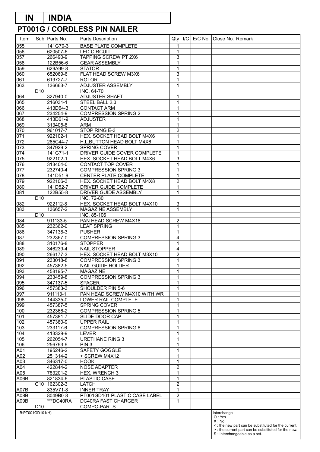# **PT001G / CORDLESS PIN NAILER**

| Item            |                 | Sub   Parts No.      | Parts Description                             | Qty                        | I/C | E/C No. Close No. Remark |                                                      |
|-----------------|-----------------|----------------------|-----------------------------------------------|----------------------------|-----|--------------------------|------------------------------------------------------|
| 055             |                 | 141G70-3             | <b>BASE PLATE COMPLETE</b>                    | 1                          |     |                          |                                                      |
| 056             |                 | 620507-6             | <b>LED CIRCUIT</b>                            | $\mathbf 1$                |     |                          |                                                      |
| 057             |                 | 266490-9             | TAPPING SCREW PT 2X6                          | 3                          |     |                          |                                                      |
| 058             |                 | 122B56-6             | <b>GEAR ASSEMBLY</b>                          | $\mathbf 1$                |     |                          |                                                      |
| 059             |                 | 629A99-8             | <b>STATOR</b>                                 | $\mathbf 1$                |     |                          |                                                      |
| 060             |                 | 652069-6             | FLAT HEAD SCREW M3X6                          | 3                          |     |                          |                                                      |
| 061             |                 | 619727-7             | <b>ROTOR</b>                                  | 1                          |     |                          |                                                      |
| 063             |                 | 136663-7             | ADJUSTER ASSEMBLY                             | $\mathbf 1$                |     |                          |                                                      |
|                 | D10             |                      | INC. 64-70<br><b>ADJUSTER SHAFT</b>           |                            |     |                          |                                                      |
| 064             |                 | 327940-0             |                                               | $\mathbf 1$                |     |                          |                                                      |
| 065<br>066      |                 | 216031-1<br>413D64-3 | STEEL BALL 2.3<br><b>CONTACT ARM</b>          | 1                          |     |                          |                                                      |
| 067             |                 | 234254-9             | <b>COMPRESSION SPRING 2</b>                   | $\mathbf 1$<br>1           |     |                          |                                                      |
| 068             |                 | 413D61-9             | <b>ADJUSTER</b>                               | $\mathbf 1$                |     |                          |                                                      |
| 069             |                 | 313405-8             | <b>ARM</b>                                    | 1                          |     |                          |                                                      |
| 070             |                 | 961017-7             | STOP RING E-3                                 | $\overline{2}$             |     |                          |                                                      |
| 071             |                 | 922102-1             | HEX. SOCKET HEAD BOLT M4X6                    | $\mathbf 1$                |     |                          |                                                      |
| 072             |                 | 265C44-7             | H.L.BUTTON HEAD BOLT M4X6                     | $\mathbf 1$                |     |                          |                                                      |
| 073             |                 | 347929-2             | SPRING COVER                                  | 1                          |     |                          |                                                      |
| 074             |                 | 141G71-1             | DRIVER GUIDE COVER COMPLETE                   | $\mathbf 1$                |     |                          |                                                      |
| 075             |                 | 922102-1             | HEX. SOCKET HEAD BOLT M4X6                    | 3                          |     |                          |                                                      |
| 076             |                 | 313404-0             | <b>CONTACT TOP COVER</b>                      | $\mathbf 1$                |     |                          |                                                      |
| 077             |                 | 232740-4             | <b>COMPRESSION SPRING 3</b>                   | 1                          |     |                          |                                                      |
| 078             |                 | 141D51-9             | <b>CENTER PLATE COMPLETE</b>                  | $\mathbf 1$                |     |                          |                                                      |
| 079             |                 | 922106-3             | HEX. SOCKET HEAD BOLT M4X8                    | $\overline{2}$             |     |                          |                                                      |
| 080             |                 | 141D52-7             | DRIVER GUIDE COMPLETE                         | 1                          |     |                          |                                                      |
| 081             |                 | 122B55-8             | DRIVER GUIDE ASSEMBLY                         | 1                          |     |                          |                                                      |
|                 | D10             |                      | INC. 72-80                                    |                            |     |                          |                                                      |
| 082             |                 | 922112-8             | HEX. SOCKET HEAD BOLT M4X10                   | $\overline{3}$             |     |                          |                                                      |
| 083             |                 | 136657-2             | MAGAZINE ASSEMBLY                             | $\mathbf{1}$               |     |                          |                                                      |
|                 | D10             |                      | INC. 85-106                                   |                            |     |                          |                                                      |
| 084             |                 | 911133-5             | PAN HEAD SCREW M4X18                          | $\boldsymbol{2}$           |     |                          |                                                      |
| 085             |                 | 232362-0             | <b>LEAF SPRING</b>                            | $\mathbf 1$                |     |                          |                                                      |
| 086             |                 | 347138-3             | <b>PUSHER</b>                                 | $\mathbf 1$                |     |                          |                                                      |
| 087             |                 | 232367-0             | <b>COMPRESSION SPRING 3</b>                   | 4                          |     |                          |                                                      |
| 088             |                 | 310176-8             | <b>STOPPER</b>                                | $\mathbf 1$                |     |                          |                                                      |
| 089             |                 | 346239-4             | <b>NAIL STOPPER</b>                           | $\overline{\mathbf{4}}$    |     |                          |                                                      |
| 090             |                 | 266177-3             | HEX. SOCKET HEAD BOLT M3X10                   | $\overline{2}$             |     |                          |                                                      |
| 091             |                 | 233018-8             | <b>COMPRESSION SPRING 3</b>                   | 1                          |     |                          |                                                      |
| 092             |                 | 457382-5             | <b>NAIL GUIDE HOLDER</b>                      | $\mathbf 1$                |     |                          |                                                      |
| 093             |                 | 458195-7             | <b>MAGAZINE</b>                               | $\mathbf{1}$               |     |                          |                                                      |
| 094             |                 | 233459-8             | <b>COMPRESSION SPRING 3</b>                   | $\mathbf{1}$               |     |                          |                                                      |
| 095             |                 | 347137-5             | <b>SPACER</b>                                 | 1                          |     |                          |                                                      |
| 096             |                 | 457383-3             | SHOULDER PIN 5-6                              | $\mathbf 1$                |     |                          |                                                      |
| 097             |                 | 911113-1             | PAN HEAD SCREW M4X10 WITH WR                  | $\mathbf 1$                |     |                          |                                                      |
| 098             |                 | 144335-0             | LOWER RAIL COMPLETE                           | $\mathbf 1$                |     |                          |                                                      |
| 099             |                 | 457387-5             | SPRING COVER                                  | $\mathbf 1$                |     |                          |                                                      |
| 100             |                 | 232366-2             | <b>COMPRESSION SPRING 5</b><br>SLIDE DOOR CAP | $\mathbf 1$<br>$\mathbf 1$ |     |                          |                                                      |
| 101<br>102      |                 | 457381-7<br>457380-9 | <b>UPPER RAIL</b>                             | $\mathbf 1$                |     |                          |                                                      |
| 103             |                 | 233117-6             | <b>COMPRESSION SPRING 6</b>                   | 1                          |     |                          |                                                      |
| 104             |                 | 413329-9             | <b>LEVER</b>                                  | $\mathbf 1$                |     |                          |                                                      |
| 105             |                 | 262054-7             | <b>URETHANE RING 3</b>                        | $\mathbf 1$                |     |                          |                                                      |
| 106             |                 | 256793-9             | PIN <sub>3</sub>                              | $\mathbf 1$                |     |                          |                                                      |
| A01             |                 | 195246-2             | SAFETY GOGGLE                                 | 1                          |     |                          |                                                      |
| A02             |                 | 251314-2             | + SCREW M4X12                                 | $\mathbf 1$                |     |                          |                                                      |
| A03             |                 | 346317-0             | <b>HOOK</b>                                   | $\mathbf 1$                |     |                          |                                                      |
| A04             |                 | 422844-2             | NOSE ADAPTER                                  | $\overline{2}$             |     |                          |                                                      |
| A05             |                 | 783201-2             | <b>HEX. WRENCH 3</b>                          | 1                          |     |                          |                                                      |
| A06B            |                 | 821834-6             | PLASTIC CASE                                  | $\mathbf 1$                |     |                          |                                                      |
|                 |                 | C10   162302-3       | <b>LATCH</b>                                  | $\overline{2}$             |     |                          |                                                      |
| A07B            |                 | 835V71-8             | <b>INNER TRAY</b>                             | $\mathbf 1$                |     |                          |                                                      |
| A08B            |                 | 8049B0-8             | PT001GD101 PLASTIC CASE LABEL                 | $\overline{c}$             |     |                          |                                                      |
| A09B            |                 | ***DC40RA            | DC40RA FAST CHARGER                           | $\mathbf 1$                |     |                          |                                                      |
|                 | D <sub>10</sub> |                      | COMPO-PARTS                                   |                            |     |                          |                                                      |
| B:PT001GD101(H) |                 |                      |                                               |                            |     | Interchange              |                                                      |
|                 |                 |                      |                                               |                            |     | O: Yes<br>X: No          |                                                      |
|                 |                 |                      |                                               |                            |     |                          | <: the new part can be substituted for the current.  |
|                 |                 |                      |                                               |                            |     |                          | > : the current part can be substituted for the new. |
|                 |                 |                      |                                               |                            |     |                          | S : Interchangeable as a set.                        |